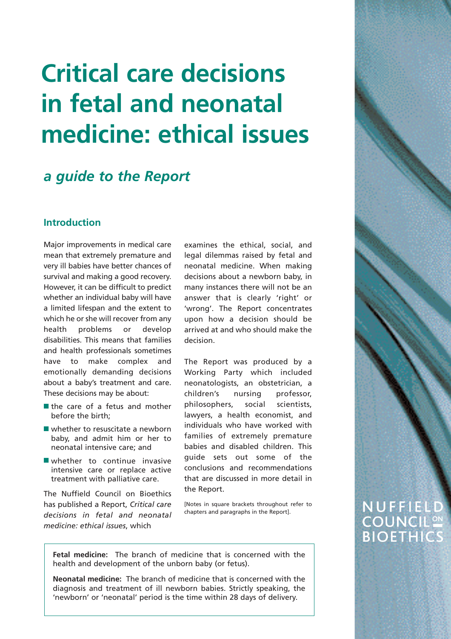# **Critical care decisions in fetal and neonatal medicine: ethical issues**

### *a guide to the Report*

#### **Introduction**

Major improvements in medical care mean that extremely premature and very ill babies have better chances of survival and making a good recovery. However, it can be difficult to predict whether an individual baby will have a limited lifespan and the extent to which he or she will recover from any health problems or develop disabilities. This means that families and health professionals sometimes have to make complex and emotionally demanding decisions about a baby's treatment and care. These decisions may be about:

- the care of a fetus and mother before the birth;
- whether to resuscitate a newborn baby, and admit him or her to neonatal intensive care; and
- whether to continue invasive intensive care or replace active treatment with palliative care.

The Nuffield Council on Bioethics has published a Report, *Critical care decisions in fetal and neonatal medicine: ethical issues*, which

examines the ethical, social, and legal dilemmas raised by fetal and neonatal medicine. When making decisions about a newborn baby, in many instances there will not be an answer that is clearly 'right' or 'wrong'. The Report concentrates upon how a decision should be arrived at and who should make the decision.

The Report was produced by a Working Party which included neonatologists, an obstetrician, a children's nursing professor, philosophers, social scientists, lawyers, a health economist, and individuals who have worked with families of extremely premature babies and disabled children. This guide sets out some of the conclusions and recommendations that are discussed in more detail in the Report.

[Notes in square brackets throughout refer to chapters and paragraphs in the Report].

**Fetal medicine:** The branch of medicine that is concerned with the health and development of the unborn baby (or fetus).

**Neonatal medicine:** The branch of medicine that is concerned with the diagnosis and treatment of ill newborn babies. Strictly speaking, the 'newborn' or 'neonatal' period is the time within 28 days of delivery.

### NUFFIELD **COUNCIL<sup>ON</sup> BIOETHICS**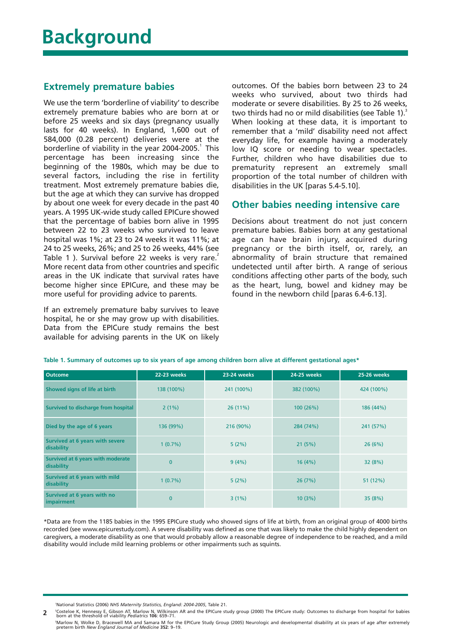#### **Extremely premature babies**

We use the term 'borderline of viability' to describe extremely premature babies who are born at or before 25 weeks and six days (pregnancy usually lasts for 40 weeks). In England, 1,600 out of 584,000 (0.28 percent) deliveries were at the borderline of viability in the year 2004-2005. $^1$  This percentage has been increasing since the beginning of the 1980s, which may be due to several factors, including the rise in fertility treatment. Most extremely premature babies die, but the age at which they can survive has dropped by about one week for every decade in the past 40 years. A 1995 UK-wide study called EPICure showed that the percentage of babies born alive in 1995 between 22 to 23 weeks who survived to leave hospital was 1%; at 23 to 24 weeks it was 11%; at 24 to 25 weeks, 26%; and 25 to 26 weeks, 44% (see Table 1). Survival before 22 weeks is very rare. More recent data from other countries and specific areas in the UK indicate that survival rates have become higher since EPICure, and these may be more useful for providing advice to parents.

If an extremely premature baby survives to leave hospital, he or she may grow up with disabilities. Data from the EPICure study remains the best available for advising parents in the UK on likely

outcomes. Of the babies born between 23 to 24 weeks who survived, about two thirds had moderate or severe disabilities. By 25 to 26 weeks, two thirds had no or mild disabilities (see Table 1).<sup>3</sup> When looking at these data, it is important to remember that a 'mild' disability need not affect everyday life, for example having a moderately low IQ score or needing to wear spectacles. Further, children who have disabilities due to prematurity represent an extremely small proportion of the total number of children with disabilities in the UK [paras 5.4-5.10].

#### **Other babies needing intensive care**

Decisions about treatment do not just concern premature babies. Babies born at any gestational age can have brain injury, acquired during pregnancy or the birth itself, or, rarely, an abnormality of brain structure that remained undetected until after birth. A range of serious conditions affecting other parts of the body, such as the heart, lung, bowel and kidney may be found in the newborn child [paras 6.4-6.13].

| Outcome                                         | <b>22-23 weeks</b> | <b>23-24 weeks</b> | 24-25 weeks | 25-26 weeks |
|-------------------------------------------------|--------------------|--------------------|-------------|-------------|
| Showed signs of life at birth                   | 138 (100%)         | 241 (100%)         | 382 (100%)  | 424 (100%)  |
| Survived to discharge from hospital             | 2(1%)              | 26(11%)            | 100(26%)    | 186 (44%)   |
| Died by the age of 6 years                      | 136 (99%)          | 216 (90%)          | 284 (74%)   | 241 (57%)   |
| Survived at 6 years with severe<br>disability   | 1(0.7%)            | 5(2%)              | 21(5%)      | 26(6%)      |
| Survived at 6 years with moderate<br>disability | $\overline{0}$     | 9(4%)              | 16(4%)      | 32(8%)      |
| Survived at 6 years with mild<br>disability     | 1(0.7%)            | 5(2%)              | 26(7%)      | 51 (12%)    |
| Survived at 6 years with no<br>impairment       | $\overline{0}$     | 3(1%)              | 10(3%)      | 35(8%)      |

**Table 1. Summary of outcomes up to six years of age among children born alive at different gestational ages\***

\*Data are from the 1185 babies in the 1995 EPICure study who showed signs of life at birth, from an original group of 4000 births recorded (see www.epicurestudy.com). A severe disability was defined as one that was likely to make the child highly dependent on caregivers, a moderate disability as one that would probably allow a reasonable degree of independence to be reached, and a mild disability would include mild learning problems or other impairments such as squints.

1 National Statistics (2006) *NHS Maternity Statistics, England: 2004-2005*, Table 21.

2 Costeloe K, Hennessy E, Gibson AT, Marlow N, Wilkinson AR and the EPICure study group (2000) The EPICure study: Outcomes to discharge from hospital for babies **2**

born at the threshold of viability *Pediatrics* 106: 659–71.<br><sup>:</sup>Marlow N, Wolke D, Bracewell MA and Samara M for the EPICure Study Group (2005) Neurologic and developmental disability at six years of age after extremely<br>pr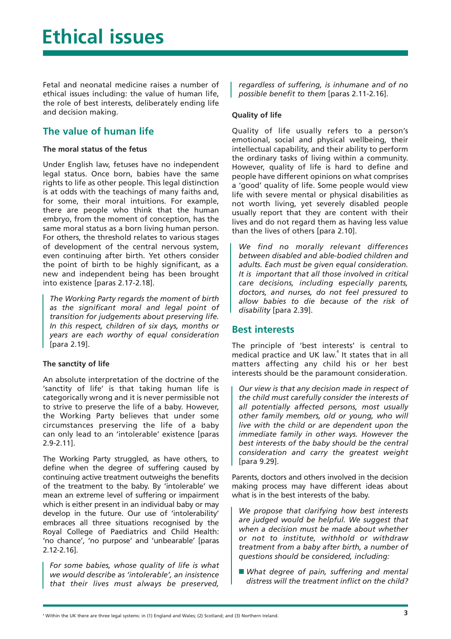Fetal and neonatal medicine raises a number of ethical issues including: the value of human life, the role of best interests, deliberately ending life and decision making.

#### **The value of human life**

#### **The moral status of the fetus**

Under English law, fetuses have no independent legal status. Once born, babies have the same rights to life as other people. This legal distinction is at odds with the teachings of many faiths and, for some, their moral intuitions. For example, there are people who think that the human embryo, from the moment of conception, has the same moral status as a born living human person. For others, the threshold relates to various stages of development of the central nervous system, even continuing after birth. Yet others consider the point of birth to be highly significant, as a new and independent being has been brought into existence [paras 2.17-2.18].

*The Working Party regards the moment of birth as the significant moral and legal point of transition for judgements about preserving life. In this respect, children of six days, months or years are each worthy of equal consideration* [para 2.19].

#### **The sanctity of life**

An absolute interpretation of the doctrine of the 'sanctity of life' is that taking human life is categorically wrong and it is never permissible not to strive to preserve the life of a baby. However, the Working Party believes that under some circumstances preserving the life of a baby can only lead to an 'intolerable' existence [paras 2.9-2.11].

The Working Party struggled, as have others, to define when the degree of suffering caused by continuing active treatment outweighs the benefits of the treatment to the baby. By 'intolerable' we mean an extreme level of suffering or impairment which is either present in an individual baby or may develop in the future. Our use of 'intolerability' embraces all three situations recognised by the Royal College of Paediatrics and Child Health: 'no chance', 'no purpose' and 'unbearable' [paras 2.12-2.16].

*For some babies, whose quality of life is what we would describe as 'intolerable', an insistence that their lives must always be preserved,*

*regardless of suffering, is inhumane and of no possible benefit to them* [paras 2.11-2.16].

#### **Quality of life**

Quality of life usually refers to a person's emotional, social and physical wellbeing, their intellectual capability, and their ability to perform the ordinary tasks of living within a community. However, quality of life is hard to define and people have different opinions on what comprises a 'good' quality of life. Some people would view life with severe mental or physical disabilities as not worth living, yet severely disabled people usually report that they are content with their lives and do not regard them as having less value than the lives of others [para 2.10].

*We find no morally relevant differences between disabled and able-bodied children and adults. Each must be given equal consideration. It is important that all those involved in critical care decisions, including especially parents, doctors, and nurses, do not feel pressured to allow babies to die because of the risk of disability* [para 2.39].

#### **Best interests**

The principle of 'best interests' is central to medical practice and UK law.<sup>4</sup> It states that in all matters affecting any child his or her best interests should be the paramount consideration.

*Our view is that any decision made in respect of the child must carefully consider the interests of all potentially affected persons, most usually other family members, old or young, who will live with the child or are dependent upon the immediate family in other ways. However the best interests of the baby should be the central consideration and carry the greatest weight* [para 9.29].

Parents, doctors and others involved in the decision making process may have different ideas about what is in the best interests of the baby.

*We propose that clarifying how best interests are judged would be helpful. We suggest that when a decision must be made about whether or not to institute, withhold or withdraw treatment from a baby after birth, a number of questions should be considered, including:*

■ What degree of pain, suffering and mental *distress will the treatment inflict on the child?*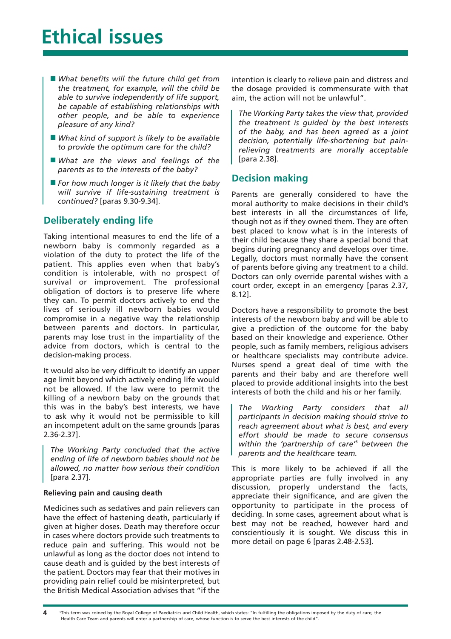## **Ethical issues**

- What benefits will the future child get from *the treatment, for example, will the child be able to survive independently of life support, be capable of establishing relationships with other people, and be able to experience pleasure of any kind?*
- *What kind of support is likely to be available to provide the optimum care for the child?*
- *What are the views and feelings of the parents as to the interests of the baby?*
- *For how much longer is it likely that the baby will survive if life-sustaining treatment is continued?* [paras 9.30-9.34].

#### **Deliberately ending life**

Taking intentional measures to end the life of a newborn baby is commonly regarded as a violation of the duty to protect the life of the patient. This applies even when that baby's condition is intolerable, with no prospect of survival or improvement. The professional obligation of doctors is to preserve life where they can. To permit doctors actively to end the lives of seriously ill newborn babies would compromise in a negative way the relationship between parents and doctors. In particular, parents may lose trust in the impartiality of the advice from doctors, which is central to the decision-making process.

It would also be very difficult to identify an upper age limit beyond which actively ending life would not be allowed. If the law were to permit the killing of a newborn baby on the grounds that this was in the baby's best interests, we have to ask why it would not be permissible to kill an incompetent adult on the same grounds [paras 2.36-2.37].

*The Working Party concluded that the active ending of life of newborn babies should not be allowed, no matter how serious their condition* [para 2.37].

#### **Relieving pain and causing death**

Medicines such as sedatives and pain relievers can have the effect of hastening death, particularly if given at higher doses. Death may therefore occur in cases where doctors provide such treatments to reduce pain and suffering. This would not be unlawful as long as the doctor does not intend to cause death and is guided by the best interests of the patient. Doctors may fear that their motives in providing pain relief could be misinterpreted, but the British Medical Association advises that "if the intention is clearly to relieve pain and distress and the dosage provided is commensurate with that aim, the action will not be unlawful".

*The Working Party takes the view that, provided the treatment is guided by the best interests of the baby, and has been agreed as a joint decision, potentially life-shortening but painrelieving treatments are morally acceptable* [para 2.38].

#### **Decision making**

Parents are generally considered to have the moral authority to make decisions in their child's best interests in all the circumstances of life, though not as if they owned them. They are often best placed to know what is in the interests of their child because they share a special bond that begins during pregnancy and develops over time. Legally, doctors must normally have the consent of parents before giving any treatment to a child. Doctors can only override parental wishes with a court order, except in an emergency [paras 2.37, 8.12].

Doctors have a responsibility to promote the best interests of the newborn baby and will be able to give a prediction of the outcome for the baby based on their knowledge and experience. Other people, such as family members, religious advisers or healthcare specialists may contribute advice. Nurses spend a great deal of time with the parents and their baby and are therefore well placed to provide additional insights into the best interests of both the child and his or her family.

*The Working Party considers that all participants in decision making should strive to reach agreement about what is best, and every effort should be made to secure consensus within the 'partnership of care'*<sup>5</sup> *between the parents and the healthcare team.* 

This is more likely to be achieved if all the appropriate parties are fully involved in any discussion, properly understand the facts, appreciate their significance, and are given the opportunity to participate in the process of deciding. In some cases, agreement about what is best may not be reached, however hard and conscientiously it is sought. We discuss this in more detail on page 6 [paras 2.48-2.53].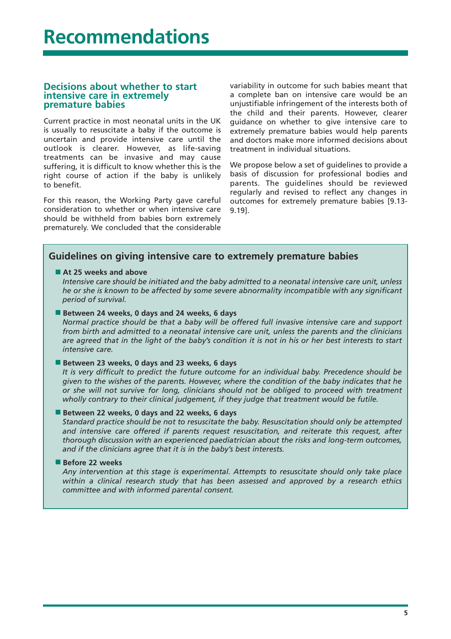#### **Decisions about whether to start intensive care in extremely premature babies**

Current practice in most neonatal units in the UK is usually to resuscitate a baby if the outcome is uncertain and provide intensive care until the outlook is clearer. However, as life-saving treatments can be invasive and may cause suffering, it is difficult to know whether this is the right course of action if the baby is unlikely to benefit.

For this reason, the Working Party gave careful consideration to whether or when intensive care should be withheld from babies born extremely prematurely. We concluded that the considerable variability in outcome for such babies meant that a complete ban on intensive care would be an unjustifiable infringement of the interests both of the child and their parents. However, clearer guidance on whether to give intensive care to extremely premature babies would help parents and doctors make more informed decisions about treatment in individual situations.

We propose below a set of guidelines to provide a basis of discussion for professional bodies and parents. The guidelines should be reviewed regularly and revised to reflect any changes in outcomes for extremely premature babies [9.13- 9.19].

#### **Guidelines on giving intensive care to extremely premature babies**

#### ■ At 25 weeks and above

*Intensive care should be initiated and the baby admitted to a neonatal intensive care unit, unless he or she is known to be affected by some severe abnormality incompatible with any significant period of survival.* 

#### ■ Between 24 weeks, 0 days and 24 weeks, 6 days

*Normal practice should be that a baby will be offered full invasive intensive care and support from birth and admitted to a neonatal intensive care unit, unless the parents and the clinicians are agreed that in the light of the baby's condition it is not in his or her best interests to start intensive care.*

#### ■ Between 23 weeks, 0 days and 23 weeks, 6 days

*It is very difficult to predict the future outcome for an individual baby. Precedence should be given to the wishes of the parents. However, where the condition of the baby indicates that he or she will not survive for long, clinicians should not be obliged to proceed with treatment wholly contrary to their clinical judgement, if they judge that treatment would be futile.* 

■ **Between 22 weeks, 0 days and 22 weeks, 6 days** 

*Standard practice should be not to resuscitate the baby. Resuscitation should only be attempted and intensive care offered if parents request resuscitation, and reiterate this request, after thorough discussion with an experienced paediatrician about the risks and long-term outcomes, and if the clinicians agree that it is in the baby's best interests.* 

#### ■ **Before 22 weeks**

*Any intervention at this stage is experimental. Attempts to resuscitate should only take place within a clinical research study that has been assessed and approved by a research ethics committee and with informed parental consent.*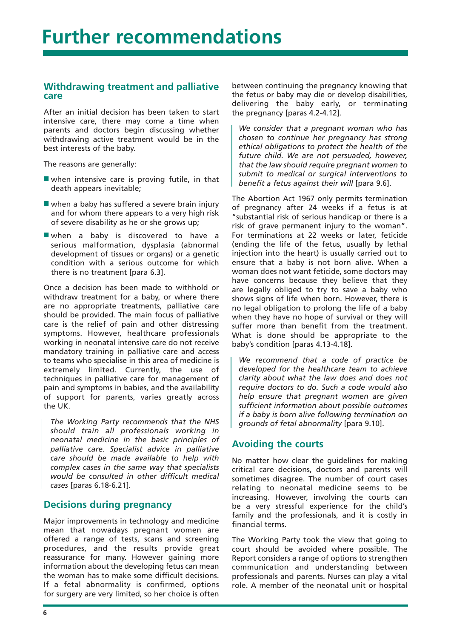#### **Withdrawing treatment and palliative care**

After an initial decision has been taken to start intensive care, there may come a time when parents and doctors begin discussing whether withdrawing active treatment would be in the best interests of the baby.

The reasons are generally:

- when intensive care is proving futile, in that death appears inevitable;
- when a baby has suffered a severe brain injury and for whom there appears to a very high risk of severe disability as he or she grows up;
- when a baby is discovered to have a serious malformation, dysplasia (abnormal development of tissues or organs) or a genetic condition with a serious outcome for which there is no treatment [para 6.3].

Once a decision has been made to withhold or withdraw treatment for a baby, or where there are no appropriate treatments, palliative care should be provided. The main focus of palliative care is the relief of pain and other distressing symptoms. However, healthcare professionals working in neonatal intensive care do not receive mandatory training in palliative care and access to teams who specialise in this area of medicine is extremely limited. Currently, the use of techniques in palliative care for management of pain and symptoms in babies, and the availability of support for parents, varies greatly across the UK.

*The Working Party recommends that the NHS should train all professionals working in neonatal medicine in the basic principles of palliative care. Specialist advice in palliative care should be made available to help with complex cases in the same way that specialists would be consulted in other difficult medical cases* [paras 6.18-6.21].

#### **Decisions during pregnancy**

Major improvements in technology and medicine mean that nowadays pregnant women are offered a range of tests, scans and screening procedures, and the results provide great reassurance for many. However gaining more information about the developing fetus can mean the woman has to make some difficult decisions. If a fetal abnormality is confirmed, options for surgery are very limited, so her choice is often

between continuing the pregnancy knowing that the fetus or baby may die or develop disabilities, delivering the baby early, or terminating the pregnancy [paras 4.2-4.12].

*We consider that a pregnant woman who has chosen to continue her pregnancy has strong ethical obligations to protect the health of the future child. We are not persuaded, however, that the law should require pregnant women to submit to medical or surgical interventions to benefit a fetus against their will* [para 9.6].

The Abortion Act 1967 only permits termination of pregnancy after 24 weeks if a fetus is at "substantial risk of serious handicap or there is a risk of grave permanent injury to the woman". For terminations at 22 weeks or later, feticide (ending the life of the fetus, usually by lethal injection into the heart) is usually carried out to ensure that a baby is not born alive. When a woman does not want feticide, some doctors may have concerns because they believe that they are legally obliged to try to save a baby who shows signs of life when born. However, there is no legal obligation to prolong the life of a baby when they have no hope of survival or they will suffer more than benefit from the treatment. What is done should be appropriate to the baby's condition [paras 4.13-4.18].

*We recommend that a code of practice be developed for the healthcare team to achieve clarity about what the law does and does not require doctors to do. Such a code would also help ensure that pregnant women are given sufficient information about possible outcomes if a baby is born alive following termination on grounds of fetal abnormality* [para 9.10].

#### **Avoiding the courts**

No matter how clear the guidelines for making critical care decisions, doctors and parents will sometimes disagree. The number of court cases relating to neonatal medicine seems to be increasing. However, involving the courts can be a very stressful experience for the child's family and the professionals, and it is costly in financial terms.

The Working Party took the view that going to court should be avoided where possible. The Report considers a range of options to strengthen communication and understanding between professionals and parents. Nurses can play a vital role. A member of the neonatal unit or hospital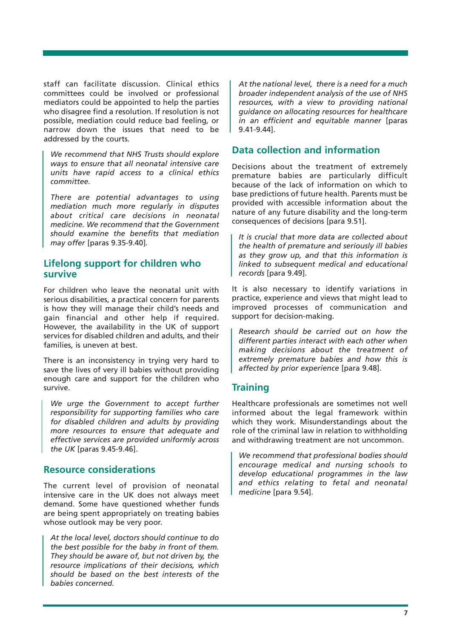staff can facilitate discussion. Clinical ethics committees could be involved or professional mediators could be appointed to help the parties who disagree find a resolution. If resolution is not possible, mediation could reduce bad feeling, or narrow down the issues that need to be addressed by the courts.

*We recommend that NHS Trusts should explore ways to ensure that all neonatal intensive care units have rapid access to a clinical ethics committee.*

*There are potential advantages to using mediation much more regularly in disputes about critical care decisions in neonatal medicine. We recommend that the Government should examine the benefits that mediation may offer* [paras 9.35-9.40]*.*

#### **Lifelong support for children who survive**

For children who leave the neonatal unit with serious disabilities, a practical concern for parents is how they will manage their child's needs and gain financial and other help if required. However, the availability in the UK of support services for disabled children and adults, and their families, is uneven at best.

There is an inconsistency in trying very hard to save the lives of very ill babies without providing enough care and support for the children who survive.

*We urge the Government to accept further responsibility for supporting families who care for disabled children and adults by providing more resources to ensure that adequate and effective services are provided uniformly across the UK* [paras 9.45-9.46].

#### **Resource considerations**

The current level of provision of neonatal intensive care in the UK does not always meet demand. Some have questioned whether funds are being spent appropriately on treating babies whose outlook may be very poor.

*At the local level, doctors should continue to do the best possible for the baby in front of them. They should be aware of, but not driven by, the resource implications of their decisions, which should be based on the best interests of the babies concerned.*

*At the national level, there is a need for a much broader independent analysis of the use of NHS resources, with a view to providing national guidance on allocating resources for healthcare in an efficient and equitable manner* [paras 9.41-9.44].

#### **Data collection and information**

Decisions about the treatment of extremely premature babies are particularly difficult because of the lack of information on which to base predictions of future health. Parents must be provided with accessible information about the nature of any future disability and the long-term consequences of decisions [para 9.51].

*It is crucial that more data are collected about the health of premature and seriously ill babies as they grow up, and that this information is linked to subsequent medical and educational records* [para 9.49].

It is also necessary to identify variations in practice, experience and views that might lead to improved processes of communication and support for decision-making.

*Research should be carried out on how the different parties interact with each other when making decisions about the treatment of extremely premature babies and how this is affected by prior experience* [para 9.48].

#### **Training**

Healthcare professionals are sometimes not well informed about the legal framework within which they work. Misunderstandings about the role of the criminal law in relation to withholding and withdrawing treatment are not uncommon.

*We recommend that professional bodies should encourage medical and nursing schools to develop educational programmes in the law and ethics relating to fetal and neonatal medicine* [para 9.54].